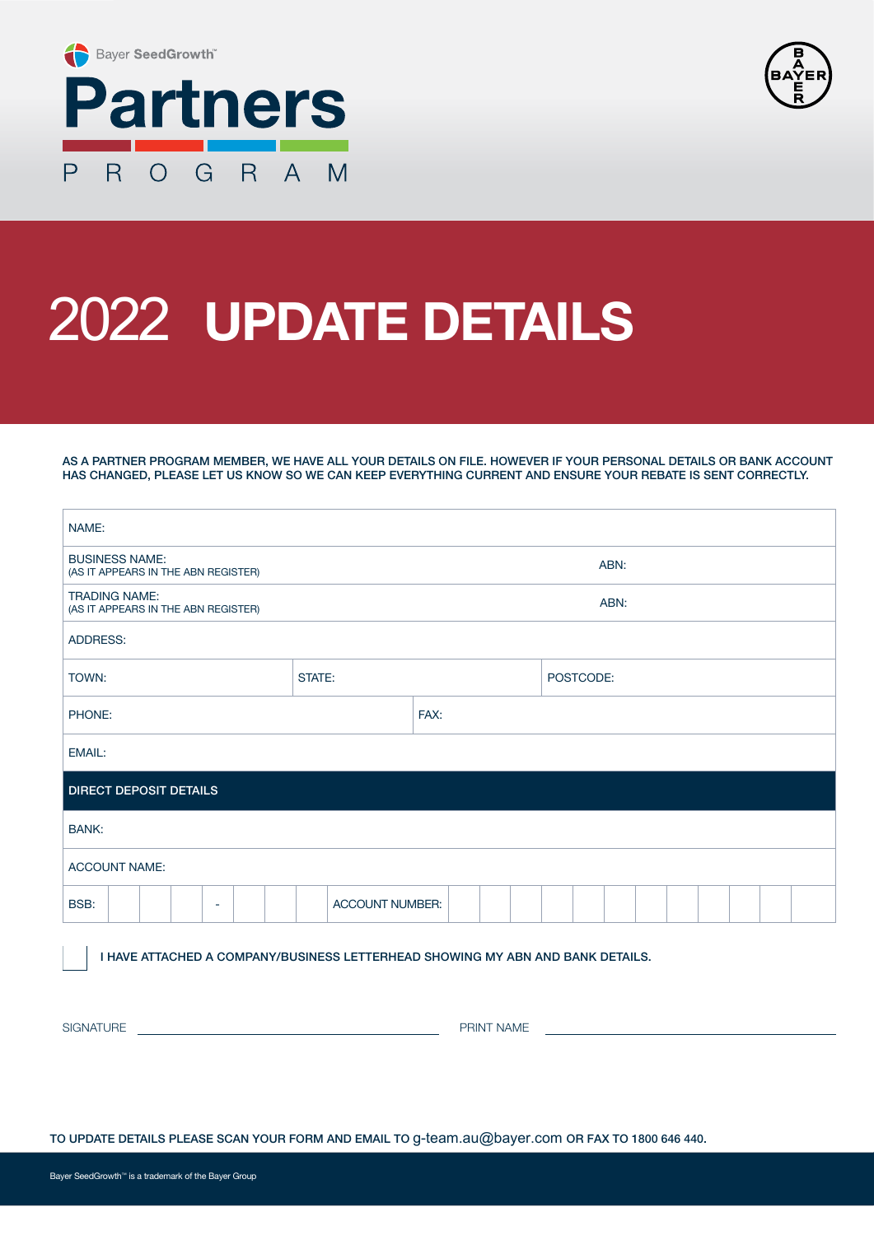



## 2022 **UPDATE DETAILS**

AS A PARTNER PROGRAM MEMBER, WE HAVE ALL YOUR DETAILS ON FILE. HOWEVER IF YOUR PERSONAL DETAILS OR BANK ACCOUNT HAS CHANGED, PLEASE LET US KNOW SO WE CAN KEEP EVERYTHING CURRENT AND ENSURE YOUR REBATE IS SENT CORRECTLY.

| NAME:                                                        |                 |      |           |  |
|--------------------------------------------------------------|-----------------|------|-----------|--|
| <b>BUSINESS NAME:</b><br>(AS IT APPEARS IN THE ABN REGISTER) | ABN:            |      |           |  |
| <b>TRADING NAME:</b><br>(AS IT APPEARS IN THE ABN REGISTER)  |                 | ABN: |           |  |
| ADDRESS:                                                     |                 |      |           |  |
| TOWN:                                                        | STATE:          |      | POSTCODE: |  |
| PHONE:                                                       |                 | FAX: |           |  |
| EMAIL:                                                       |                 |      |           |  |
| <b>DIRECT DEPOSIT DETAILS</b>                                |                 |      |           |  |
| <b>BANK:</b>                                                 |                 |      |           |  |
| <b>ACCOUNT NAME:</b>                                         |                 |      |           |  |
| BSB:<br>٠                                                    | ACCOUNT NUMBER: |      |           |  |

I HAVE ATTACHED A COMPANY/BUSINESS LETTERHEAD SHOWING MY ABN AND BANK DETAILS.

SIGNATURE PRINT NAME

TO UPDATE DETAILS PLEASE SCAN YOUR FORM AND EMAIL TO g-team.au@bayer.com OR FAX TO 1800 646 440.